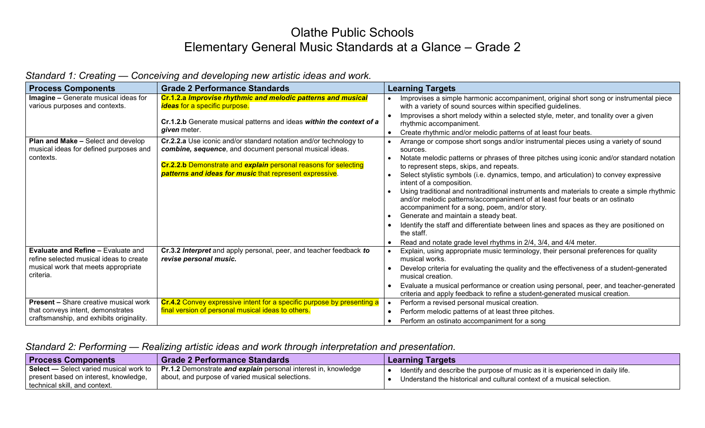## Olathe Public Schools Elementary General Music Standards at a Glance – Grade 2

| <b>Process Components</b>                                                                                                                | <b>Grade 2 Performance Standards</b>                                                                                                                                                                                                                       | <b>Learning Targets</b>                                                                                                                                                                                                                                                                                                                                                                                                                                                                                                                                                                                                                                                                                                                                                                                                     |
|------------------------------------------------------------------------------------------------------------------------------------------|------------------------------------------------------------------------------------------------------------------------------------------------------------------------------------------------------------------------------------------------------------|-----------------------------------------------------------------------------------------------------------------------------------------------------------------------------------------------------------------------------------------------------------------------------------------------------------------------------------------------------------------------------------------------------------------------------------------------------------------------------------------------------------------------------------------------------------------------------------------------------------------------------------------------------------------------------------------------------------------------------------------------------------------------------------------------------------------------------|
| <b>Imagine - Generate musical ideas for</b><br>various purposes and contexts.                                                            | Cr.1.2.a Improvise rhythmic and melodic patterns and musical<br><i>ideas</i> for a specific purpose.<br>Cr.1.2.b Generate musical patterns and ideas within the context of a<br><i>given</i> meter.                                                        | Improvises a simple harmonic accompaniment, original short song or instrumental piece<br>with a variety of sound sources within specified guidelines.<br>Improvises a short melody within a selected style, meter, and tonality over a given<br>rhythmic accompaniment.<br>Create rhythmic and/or melodic patterns of at least four beats.<br>$\bullet$                                                                                                                                                                                                                                                                                                                                                                                                                                                                     |
| <b>Plan and Make - Select and develop</b><br>musical ideas for defined purposes and<br>contexts.                                         | Cr.2.2.a Use iconic and/or standard notation and/or technology to<br>combine, sequence, and document personal musical ideas.<br>Cr.2.2.b Demonstrate and explain personal reasons for selecting<br>patterns and ideas for music that represent expressive. | Arrange or compose short songs and/or instrumental pieces using a variety of sound<br>sources.<br>Notate melodic patterns or phrases of three pitches using iconic and/or standard notation<br>to represent steps, skips, and repeats.<br>Select stylistic symbols (i.e. dynamics, tempo, and articulation) to convey expressive<br>intent of a composition.<br>Using traditional and nontraditional instruments and materials to create a simple rhythmic<br>and/or melodic patterns/accompaniment of at least four beats or an ostinato<br>accompaniment for a song, poem, and/or story.<br>Generate and maintain a steady beat.<br>Identify the staff and differentiate between lines and spaces as they are positioned on<br>the staff.<br>Read and notate grade level rhythms in 2/4, 3/4, and 4/4 meter.<br>$\bullet$ |
| <b>Evaluate and Refine - Evaluate and</b><br>refine selected musical ideas to create<br>musical work that meets appropriate<br>criteria. | Cr.3.2 Interpret and apply personal, peer, and teacher feedback to<br>revise personal music.                                                                                                                                                               | Explain, using appropriate music terminology, their personal preferences for quality<br>musical works.<br>Develop criteria for evaluating the quality and the effectiveness of a student-generated<br>musical creation.<br>Evaluate a musical performance or creation using personal, peer, and teacher-generated<br>criteria and apply feedback to refine a student-generated musical creation.                                                                                                                                                                                                                                                                                                                                                                                                                            |
| <b>Present - Share creative musical work</b><br>that conveys intent, demonstrates<br>craftsmanship, and exhibits originality.            | Cr.4.2 Convey expressive intent for a specific purpose by presenting a<br>final version of personal musical ideas to others.                                                                                                                               | Perform a revised personal musical creation.<br>$\bullet$<br>Perform melodic patterns of at least three pitches.<br>Perform an ostinato accompaniment for a song<br>$\bullet$                                                                                                                                                                                                                                                                                                                                                                                                                                                                                                                                                                                                                                               |

## *Standard 1: Creating — Conceiving and developing new artistic ideas and work.*

## *Standard 2: Performing — Realizing artistic ideas and work through interpretation and presentation.*

| <b>Process Components</b>                                                                                        | <b>Grade 2 Performance Standards</b>                                                                                      | <b>Learning Targets</b>                                                                                                                                  |
|------------------------------------------------------------------------------------------------------------------|---------------------------------------------------------------------------------------------------------------------------|----------------------------------------------------------------------------------------------------------------------------------------------------------|
| Select — Select varied musical work to<br>present based on interest, knowledge,<br>technical skill, and context. | <b>Pr.1.2</b> Demonstrate and explain personal interest in, knowledge<br>about, and purpose of varied musical selections. | ldentify and describe the purpose of music as it is experienced in daily life.<br>Understand the historical and cultural context of a musical selection. |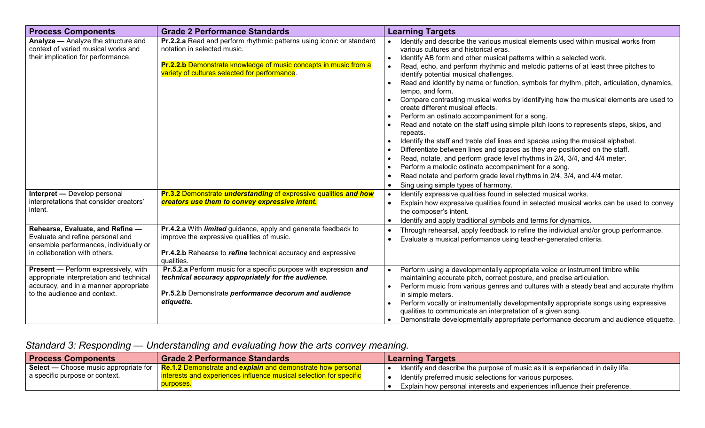| <b>Process Components</b>                                                                                                                                        | <b>Grade 2 Performance Standards</b>                                                                                                                                                                                     | <b>Learning Targets</b>                                                                                                                                                                                                                                                                                                                                                                                                                                                                                                                                                                                                                                                                                                                                                                                                                                                                                                                                                                                                                                                                                                                                         |
|------------------------------------------------------------------------------------------------------------------------------------------------------------------|--------------------------------------------------------------------------------------------------------------------------------------------------------------------------------------------------------------------------|-----------------------------------------------------------------------------------------------------------------------------------------------------------------------------------------------------------------------------------------------------------------------------------------------------------------------------------------------------------------------------------------------------------------------------------------------------------------------------------------------------------------------------------------------------------------------------------------------------------------------------------------------------------------------------------------------------------------------------------------------------------------------------------------------------------------------------------------------------------------------------------------------------------------------------------------------------------------------------------------------------------------------------------------------------------------------------------------------------------------------------------------------------------------|
| Analyze - Analyze the structure and<br>context of varied musical works and<br>their implication for performance.                                                 | Pr.2.2.a Read and perform rhythmic patterns using iconic or standard<br>notation in selected music.<br>Pr.2.2.b Demonstrate knowledge of music concepts in music from a<br>variety of cultures selected for performance. | Identify and describe the various musical elements used within musical works from<br>various cultures and historical eras.<br>Identify AB form and other musical patterns within a selected work.<br>Read, echo, and perform rhythmic and melodic patterns of at least three pitches to<br>identify potential musical challenges.<br>Read and identify by name or function, symbols for rhythm, pitch, articulation, dynamics,<br>tempo, and form.<br>Compare contrasting musical works by identifying how the musical elements are used to<br>create different musical effects.<br>Perform an ostinato accompaniment for a song.<br>Read and notate on the staff using simple pitch icons to represents steps, skips, and<br>repeats.<br>Identify the staff and treble clef lines and spaces using the musical alphabet.<br>Differentiate between lines and spaces as they are positioned on the staff.<br>Read, notate, and perform grade level rhythms in 2/4, 3/4, and 4/4 meter.<br>Perform a melodic ostinato accompaniment for a song.<br>Read notate and perform grade level rhythms in 2/4, 3/4, and 4/4 meter.<br>Sing using simple types of harmony. |
| <b>Interpret — Develop personal</b><br>interpretations that consider creators'<br>intent.                                                                        | <b>Pr.3.2 Demonstrate understanding of expressive qualities and how</b><br>creators use them to convey expressive intent.                                                                                                | Identify expressive qualities found in selected musical works.<br>Explain how expressive qualities found in selected musical works can be used to convey<br>the composer's intent.<br>Identify and apply traditional symbols and terms for dynamics.                                                                                                                                                                                                                                                                                                                                                                                                                                                                                                                                                                                                                                                                                                                                                                                                                                                                                                            |
| Rehearse, Evaluate, and Refine -<br>Evaluate and refine personal and<br>ensemble performances, individually or<br>in collaboration with others.                  | Pr.4.2.a With limited guidance, apply and generate feedback to<br>improve the expressive qualities of music.<br>Pr.4.2.b Rehearse to refine technical accuracy and expressive<br>qualities.                              | Through rehearsal, apply feedback to refine the individual and/or group performance.<br>Evaluate a musical performance using teacher-generated criteria.<br>$\bullet$                                                                                                                                                                                                                                                                                                                                                                                                                                                                                                                                                                                                                                                                                                                                                                                                                                                                                                                                                                                           |
| <b>Present -</b> Perform expressively, with<br>appropriate interpretation and technical<br>accuracy, and in a manner appropriate<br>to the audience and context. | Pr.5.2.a Perform music for a specific purpose with expression and<br>technical accuracy appropriately for the audience.<br>Pr.5.2.b Demonstrate performance decorum and audience<br>etiquette.                           | Perform using a developmentally appropriate voice or instrument timbre while<br>maintaining accurate pitch, correct posture, and precise articulation.<br>Perform music from various genres and cultures with a steady beat and accurate rhythm<br>in simple meters.<br>Perform vocally or instrumentally developmentally appropriate songs using expressive<br>qualities to communicate an interpretation of a given song.<br>Demonstrate developmentally appropriate performance decorum and audience etiquette.                                                                                                                                                                                                                                                                                                                                                                                                                                                                                                                                                                                                                                              |

## *Standard 3: Responding — Understanding and evaluating how the arts convey meaning.*

| <b>Process Components</b>      | ∣ Grade 2 Performance Standards                                                                     | <b>Learning Targets</b>                                                        |
|--------------------------------|-----------------------------------------------------------------------------------------------------|--------------------------------------------------------------------------------|
|                                | Select — Choose music appropriate for   Re.1.2 Demonstrate and explain and demonstrate how personal | ldentify and describe the purpose of music as it is experienced in daily life. |
| a specific purpose or context. | <u>l interests and experiences influence musical selection for specific</u>                         | Identify preferred music selections for various purposes.                      |
|                                | purposes.                                                                                           | Explain how personal interests and experiences influence their preference.     |